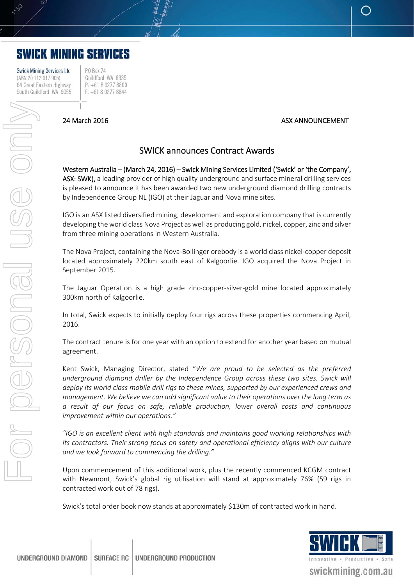# **SWICK MINING SERVICES**

**Swick Mining Services Ltd** (ABN 20 112 917 905) 64 Great Eastern Highway South Guildford WA 6055

**PO Box 74** Guildford WA 6935 P: +61 8 9277 8800 F: +61 8 9277 8844

## 24 March 2016 ASX ANNOUNCEMENT

## SWICK announces Contract Awards

Western Australia – (March 24, 2016) – Swick Mining Services Limited ('Swick' or 'the Company', ASX: SWK), a leading provider of high quality underground and surface mineral drilling services is pleased to announce it has been awarded two new underground diamond drilling contracts by Independence Group NL (IGO) at their Jaguar and Nova mine sites.

IGO is an ASX listed diversified mining, development and exploration company that is currently developing the world class Nova Project as well as producing gold, nickel, copper, zinc and silver from three mining operations in Western Australia.

The Nova Project, containing the Nova‐Bollinger orebody is a world class nickel‐copper deposit located approximately 220km south east of Kalgoorlie. IGO acquired the Nova Project in September 2015.

The Jaguar Operation is a high grade zinc-copper-silver-gold mine located approximately 300km north of Kalgoorlie.

In total, Swick expects to initially deploy four rigs across these properties commencing April, 2016.

The contract tenure is for one year with an option to extend for another year based on mutual agreement.

Kent Swick, Managing Director, stated "*We are proud to be selected as the preferred underground diamond driller by the Independence Group across these two sites. Swick will deploy its world class mobile drill rigs to these mines, supported by our experienced crews and management. We believe we can add significant value to their operations over the long term as a result of our focus on safe, reliable production, lower overall costs and continuous improvement within our operations."* 

*"IGO is an excellent client with high standards and maintains good working relationships with its contractors. Their strong focus on safety and operational efficiency aligns with our culture and we look forward to commencing the drilling."* 

Upon commencement of this additional work, plus the recently commenced KCGM contract with Newmont, Swick's global rig utilisation will stand at approximately 76% (59 rigs in contracted work out of 78 rigs).

Swick's total order book now stands at approximately \$130m of contracted work in hand.